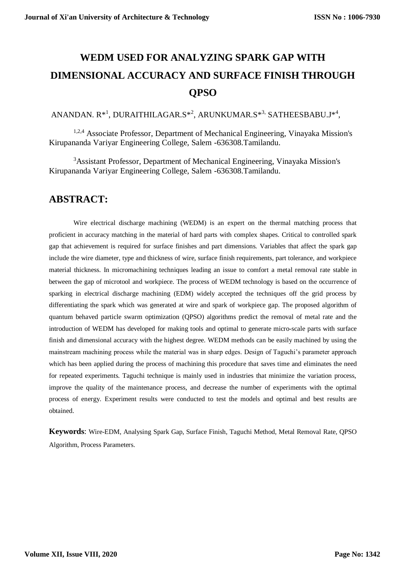# **WEDM USED FOR ANALYZING SPARK GAP WITH DIMENSIONAL ACCURACY AND SURFACE FINISH THROUGH QPSO**

### ANANDAN. R\*<sup>1</sup>, DURAITHILAGAR.S\*<sup>2</sup>, ARUNKUMAR.S\*<sup>3,</sup> SATHEESBABU.J\*<sup>4</sup>,

<sup>1,2,4</sup> Associate Professor, Department of Mechanical Engineering, Vinayaka Mission's Kirupananda Variyar Engineering College, Salem -636308.Tamilandu.

<sup>3</sup>Assistant Professor, Department of Mechanical Engineering, Vinayaka Mission's Kirupananda Variyar Engineering College, Salem -636308.Tamilandu.

# **ABSTRACT:**

Wire electrical discharge machining (WEDM) is an expert on the thermal matching process that proficient in accuracy matching in the material of hard parts with complex shapes. Critical to controlled spark gap that achievement is required for surface finishes and part dimensions. Variables that affect the spark gap include the wire diameter, type and thickness of wire, surface finish requirements, part tolerance, and workpiece material thickness. In micromachining techniques leading an issue to comfort a metal removal rate stable in between the gap of microtool and workpiece. The process of WEDM technology is based on the occurrence of sparking in electrical discharge machining (EDM) widely accepted the techniques off the grid process by differentiating the spark which was generated at wire and spark of workpiece gap. The proposed algorithm of quantum behaved particle swarm optimization (QPSO) algorithms predict the removal of metal rate and the introduction of WEDM has developed for making tools and optimal to generate micro-scale parts with surface finish and dimensional accuracy with the highest degree. WEDM methods can be easily machined by using the mainstream machining process while the material was in sharp edges. Design of Taguchi's parameter approach which has been applied during the process of machining this procedure that saves time and eliminates the need for repeated experiments. Taguchi technique is mainly used in industries that minimize the variation process, improve the quality of the maintenance process, and decrease the number of experiments with the optimal process of energy. Experiment results were conducted to test the models and optimal and best results are obtained.

**Keywords**: Wire-EDM, Analysing Spark Gap, Surface Finish, Taguchi Method, Metal Removal Rate, QPSO Algorithm, Process Parameters.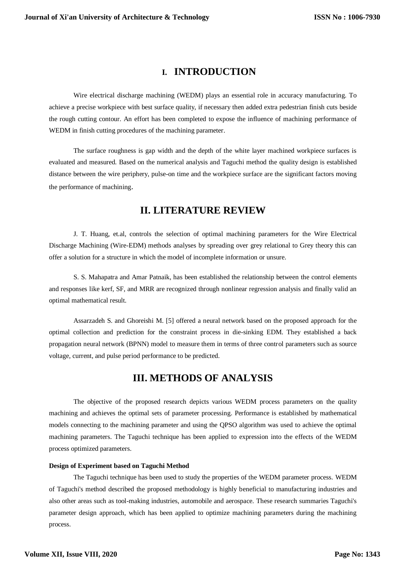### **I. INTRODUCTION**

Wire electrical discharge machining (WEDM) plays an essential role in accuracy manufacturing. To achieve a precise workpiece with best surface quality, if necessary then added extra pedestrian finish cuts beside the rough cutting contour. An effort has been completed to expose the influence of machining performance of WEDM in finish cutting procedures of the machining parameter.

The surface roughness is gap width and the depth of the white layer machined workpiece surfaces is evaluated and measured. Based on the numerical analysis and Taguchi method the quality design is established distance between the wire periphery, pulse-on time and the workpiece surface are the significant factors moving the performance of machining.

# **II. LITERATURE REVIEW**

J. T. Huang, et.al, controls the selection of optimal machining parameters for the Wire Electrical Discharge Machining (Wire-EDM) methods analyses by spreading over grey relational to Grey theory this can offer a solution for a structure in which the model of incomplete information or unsure.

S. S. Mahapatra and Amar Patnaik, has been established the relationship between the control elements and responses like kerf, SF, and MRR are recognized through nonlinear regression analysis and finally valid an optimal mathematical result.

Assarzadeh S. and Ghoreishi M. [5] offered a neural network based on the proposed approach for the optimal collection and prediction for the constraint process in die-sinking EDM. They established a back propagation neural network (BPNN) model to measure them in terms of three control parameters such as source voltage, current, and pulse period performance to be predicted.

### **III. METHODS OF ANALYSIS**

The objective of the proposed research depicts various WEDM process parameters on the quality machining and achieves the optimal sets of parameter processing. Performance is established by mathematical models connecting to the machining parameter and using the QPSO algorithm was used to achieve the optimal machining parameters. The Taguchi technique has been applied to expression into the effects of the WEDM process optimized parameters.

### **Design of Experiment based on Taguchi Method**

The Taguchi technique has been used to study the properties of the WEDM parameter process. WEDM of Taguchi's method described the proposed methodology is highly beneficial to manufacturing industries and also other areas such as tool-making industries, automobile and aerospace. These research summaries Taguchi's parameter design approach, which has been applied to optimize machining parameters during the machining process.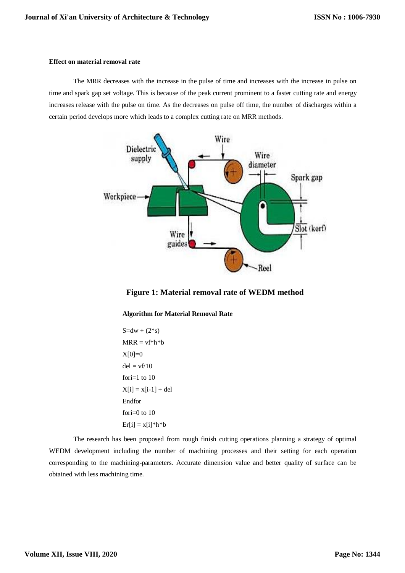#### **Effect on material removal rate**

The MRR decreases with the increase in the pulse of time and increases with the increase in pulse on time and spark gap set voltage. This is because of the peak current prominent to a faster cutting rate and energy increases release with the pulse on time. As the decreases on pulse off time, the number of discharges within a certain period develops more which leads to a complex cutting rate on MRR methods.



**Figure 1: Material removal rate of WEDM method**

**Algorithm for Material Removal Rate**

 $S=dw + (2*s)$  $MRR = vf*h*b$  $X[0]=0$  $del = vf/10$ fori=1 to 10  $X[i] = x[i-1] + del$ Endfor fori=0 to 10  $Er[i] = x[i]*h* b$ 

The research has been proposed from rough finish cutting operations planning a strategy of optimal WEDM development including the number of machining processes and their setting for each operation corresponding to the machining-parameters. Accurate dimension value and better quality of surface can be obtained with less machining time.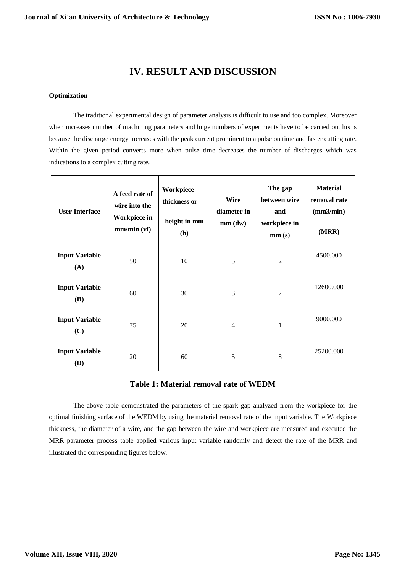# **IV. RESULT AND DISCUSSION**

### **Optimization**

The traditional experimental design of parameter analysis is difficult to use and too complex. Moreover when increases number of machining parameters and huge numbers of experiments have to be carried out his is because the discharge energy increases with the peak current prominent to a pulse on time and faster cutting rate. Within the given period converts more when pulse time decreases the number of discharges which was indications to a complex cutting rate.

| <b>User Interface</b>               | A feed rate of<br>wire into the<br>Workpiece in<br>mm/min (vf) | Workpiece<br>thickness or<br>height in mm<br>(h) | <b>Wire</b><br>diameter in<br>$mm$ (dw) | The gap<br>between wire<br>and<br>workpiece in<br>mm(s) | <b>Material</b><br>removal rate<br>(mm3/min)<br>(MRR) |
|-------------------------------------|----------------------------------------------------------------|--------------------------------------------------|-----------------------------------------|---------------------------------------------------------|-------------------------------------------------------|
| <b>Input Variable</b><br>(A)        | 50                                                             | 10                                               | 5                                       | $\overline{2}$                                          | 4500.000                                              |
| <b>Input Variable</b><br><b>(B)</b> | 60                                                             | 30                                               | 3                                       | $\overline{2}$                                          | 12600.000                                             |
| <b>Input Variable</b><br>(C)        | 75                                                             | 20                                               | $\overline{4}$                          | $\mathbf{1}$                                            | 9000.000                                              |
| <b>Input Variable</b><br>(D)        | 20                                                             | 60                                               | 5                                       | 8                                                       | 25200.000                                             |

### **Table 1: Material removal rate of WEDM**

The above table demonstrated the parameters of the spark gap analyzed from the workpiece for the optimal finishing surface of the WEDM by using the material removal rate of the input variable. The Workpiece thickness, the diameter of a wire, and the gap between the wire and workpiece are measured and executed the MRR parameter process table applied various input variable randomly and detect the rate of the MRR and illustrated the corresponding figures below.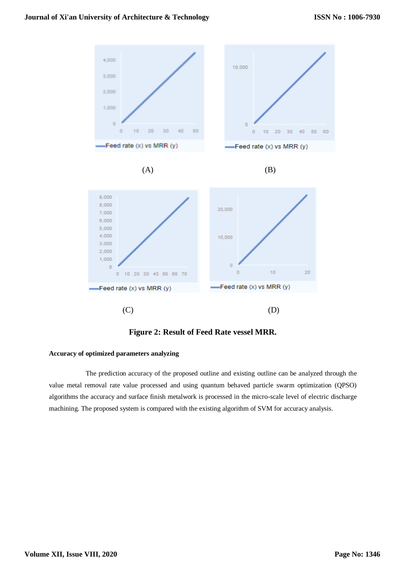

**Figure 2: Result of Feed Rate vessel MRR.**

### **Accuracy of optimized parameters analyzing**

The prediction accuracy of the proposed outline and existing outline can be analyzed through the value metal removal rate value processed and using quantum behaved particle swarm optimization (QPSO) algorithms the accuracy and surface finish metalwork is processed in the micro-scale level of electric discharge machining. The proposed system is compared with the existing algorithm of SVM for accuracy analysis.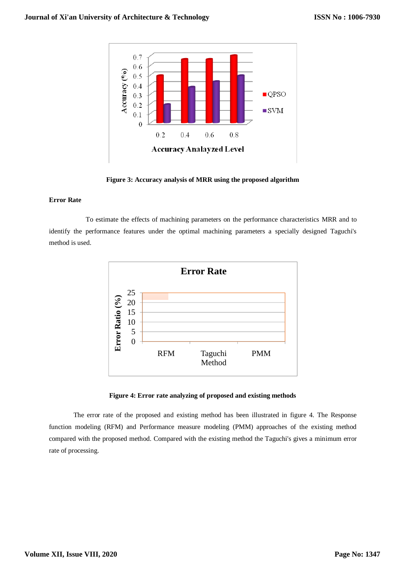

**Figure 3: Accuracy analysis of MRR using the proposed algorithm**

### **Error Rate**

To estimate the effects of machining parameters on the performance characteristics MRR and to identify the performance features under the optimal machining parameters a specially designed Taguchi's method is used.



### **Figure 4: Error rate analyzing of proposed and existing methods**

The error rate of the proposed and existing method has been illustrated in figure 4. The Response function modeling (RFM) and Performance measure modeling (PMM) approaches of the existing method compared with the proposed method. Compared with the existing method the Taguchi's gives a minimum error rate of processing.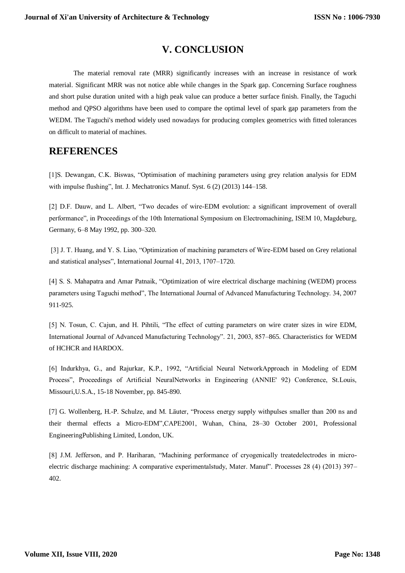# **V. CONCLUSION**

The material removal rate (MRR) significantly increases with an increase in resistance of work material. Significant MRR was not notice able while changes in the Spark gap. Concerning Surface roughness and short pulse duration united with a high peak value can produce a better surface finish. Finally, the Taguchi method and QPSO algorithms have been used to compare the optimal level of spark gap parameters from the WEDM. The Taguchi's method widely used nowadays for producing complex geometrics with fitted tolerances on difficult to material of machines.

# **REFERENCES**

[1]S. Dewangan, C.K. Biswas, "Optimisation of machining parameters using grey relation analysis for EDM with impulse flushing", Int. J. Mechatronics Manuf. Syst. 6 (2) (2013) 144–158.

[2] D.F. Dauw, and L. Albert, "Two decades of wire-EDM evolution: a significant improvement of overall performance", in Proceedings of the 10th International Symposium on Electromachining, ISEM 10, Magdeburg, Germany, 6–8 May 1992, pp. 300–320.

[3] J. T. Huang, and Y. S. Liao, "Optimization of machining parameters of Wire-EDM based on Grey relational and statistical analyses", International Journal 41, 2013, 1707–1720.

[4] S. S. Mahapatra and Amar Patnaik, "Optimization of wire electrical discharge machining (WEDM) process parameters using Taguchi method", The International Journal of Advanced Manufacturing Technology. 34, 2007 911-925.

[5] N. Tosun, C. Cajun, and H. Pihtili, "The effect of cutting parameters on wire crater sizes in wire EDM, International Journal of Advanced Manufacturing Technology". 21, 2003, 857–865. Characteristics for WEDM of HCHCR and HARDOX.

[6] Indurkhya, G., and Rajurkar, K.P., 1992, "Artificial Neural NetworkApproach in Modeling of EDM Process", Proceedings of Artificial NeuralNetworks in Engineering (ANNIE' 92) Conference, St.Louis, Missouri,U.S.A., 15-18 November, pp. 845-890.

[7] G. Wollenberg, H.-P. Schulze, and M. Läuter, "Process energy supply withpulses smaller than 200 ns and their thermal effects a Micro-EDM",CAPE2001, Wuhan, China, 28–30 October 2001, Professional EngineeringPublishing Limited, London, UK.

[8] J.M. Jefferson, and P. Hariharan, "Machining performance of cryogenically treatedelectrodes in microelectric discharge machining: A comparative experimentalstudy, Mater. Manuf'. Processes 28 (4) (2013) 397– 402.